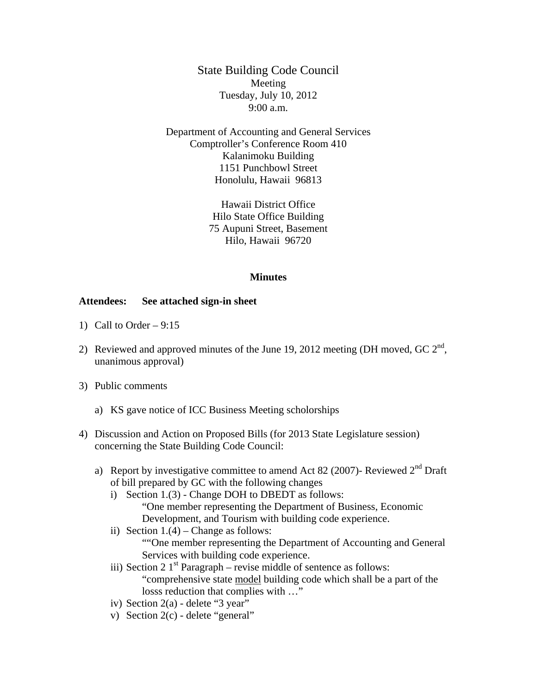State Building Code Council Meeting Tuesday, July 10, 2012 9:00 a.m.

Department of Accounting and General Services Comptroller's Conference Room 410 Kalanimoku Building 1151 Punchbowl Street Honolulu, Hawaii 96813

> Hawaii District Office Hilo State Office Building 75 Aupuni Street, Basement Hilo, Hawaii 96720

## **Minutes**

## **Attendees: See attached sign-in sheet**

- 1) Call to Order  $-9:15$
- 2) Reviewed and approved minutes of the June 19, 2012 meeting (DH moved, GC  $2^{nd}$ , unanimous approval)
- 3) Public comments
	- a) KS gave notice of ICC Business Meeting scholorships
- 4) Discussion and Action on Proposed Bills (for 2013 State Legislature session) concerning the State Building Code Council:
	- a) Report by investigative committee to amend Act 82 (2007)- Reviewed  $2<sup>nd</sup>$  Draft of bill prepared by GC with the following changes
		- i) Section 1.(3) Change DOH to DBEDT as follows: "One member representing the Department of Business, Economic Development, and Tourism with building code experience.
		- ii) Section  $1.(4)$  Change as follows: ""One member representing the Department of Accounting and General Services with building code experience.
		- iii) Section 2  $1<sup>st</sup>$  Paragraph revise middle of sentence as follows: "comprehensive state model building code which shall be a part of the losss reduction that complies with …"
		- iv) Section 2(a) delete "3 year"
		- v) Section 2(c) delete "general"